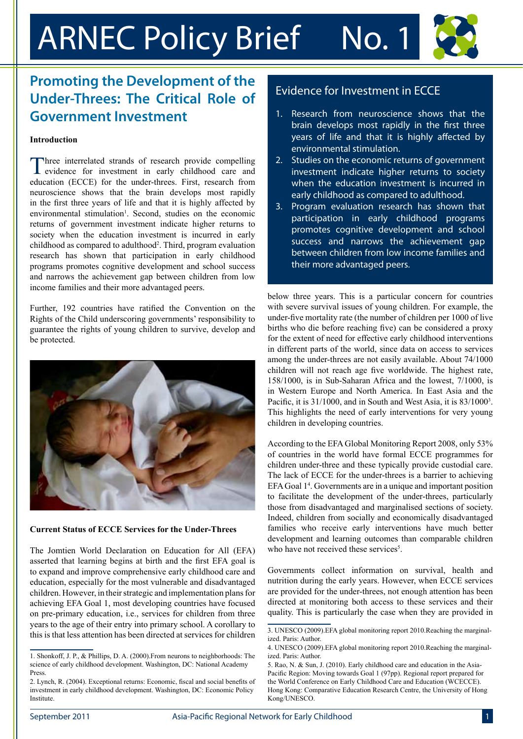# ARNEC Policy Brief No. 1

## **Promoting the Development of the Under-Threes: The Critical Role of Government Investment**

## **Introduction**

Three interrelated strands of research provide compelling evidence for investment in early childhood care and education (ECCE) for the under-threes. First, research from neuroscience shows that the brain develops most rapidly in the first three years of life and that it is highly affected by environmental stimulation<sup>1</sup>. Second, studies on the economic returns of government investment indicate higher returns to society when the education investment is incurred in early childhood as compared to adulthood<sup>2</sup>. Third, program evaluation research has shown that participation in early childhood programs promotes cognitive development and school success and narrows the achievement gap between children from low income families and their more advantaged peers.

Further, 192 countries have ratified the Convention on the Rights of the Child underscoring governments' responsibility to guarantee the rights of young children to survive, develop and be protected.



### **Current Status of ECCE Services for the Under-Threes**

The Jomtien World Declaration on Education for All (EFA) asserted that learning begins at birth and the first EFA goal is to expand and improve comprehensive early childhood care and education, especially for the most vulnerable and disadvantaged children. However, in their strategic and implementation plans for achieving EFA Goal 1, most developing countries have focused on pre-primary education, i.e., services for children from three years to the age of their entry into primary school. A corollary to this is that less attention has been directed at services for children

## Evidence for Investment in ECCE

- 1. Research from neuroscience shows that the brain develops most rapidly in the first three years of life and that it is highly affected by environmental stimulation.
- 2. Studies on the economic returns of government investment indicate higher returns to society when the education investment is incurred in early childhood as compared to adulthood.
- 3. Program evaluation research has shown that participation in early childhood programs promotes cognitive development and school success and narrows the achievement gap between children from low income families and their more advantaged peers.

below three years. This is a particular concern for countries with severe survival issues of young children. For example, the under-five mortality rate (the number of children per 1000 of live births who die before reaching five) can be considered a proxy for the extent of need for effective early childhood interventions in different parts of the world, since data on access to services among the under-threes are not easily available. About 74/1000 children will not reach age five worldwide. The highest rate, 158/1000, is in Sub-Saharan Africa and the lowest, 7/1000, is in Western Europe and North America. In East Asia and the Pacific, it is 31/1000, and in South and West Asia, it is 83/1000<sup>3</sup>. This highlights the need of early interventions for very young children in developing countries.

According to the EFA Global Monitoring Report 2008, only 53% of countries in the world have formal ECCE programmes for children under-three and these typically provide custodial care. The lack of ECCE for the under-threes is a barrier to achieving EFA Goal 1<sup>4</sup>. Governments are in a unique and important position to facilitate the development of the under-threes, particularly those from disadvantaged and marginalised sections of society. Indeed, children from socially and economically disadvantaged families who receive early interventions have much better development and learning outcomes than comparable children who have not received these services<sup>5</sup>.

Governments collect information on survival, health and nutrition during the early years. However, when ECCE services are provided for the under-threes, not enough attention has been directed at monitoring both access to these services and their quality. This is particularly the case when they are provided in

<sup>1.</sup> Shonkoff, J. P., & Phillips, D. A. (2000).From neurons to neighborhoods: The science of early childhood development. Washington, DC: National Academy Press.

<sup>2.</sup> Lynch, R. (2004). Exceptional returns: Economic, fiscal and social benefits of investment in early childhood development. Washington, DC: Economic Policy **Institute** 

<sup>3.</sup> UNESCO (2009).EFA global monitoring report 2010.Reaching the marginalized. Paris: Author.

<sup>4.</sup> UNESCO (2009).EFA global monitoring report 2010.Reaching the marginalized. Paris: Author.

<sup>5.</sup> Rao, N. & Sun, J. (2010). Early childhood care and education in the Asia-Pacific Region: Moving towards Goal 1 (97pp). Regional report prepared for the World Conference on Early Childhood Care and Education (WCECCE). Hong Kong: Comparative Education Research Centre, the University of Hong Kong/UNESCO.